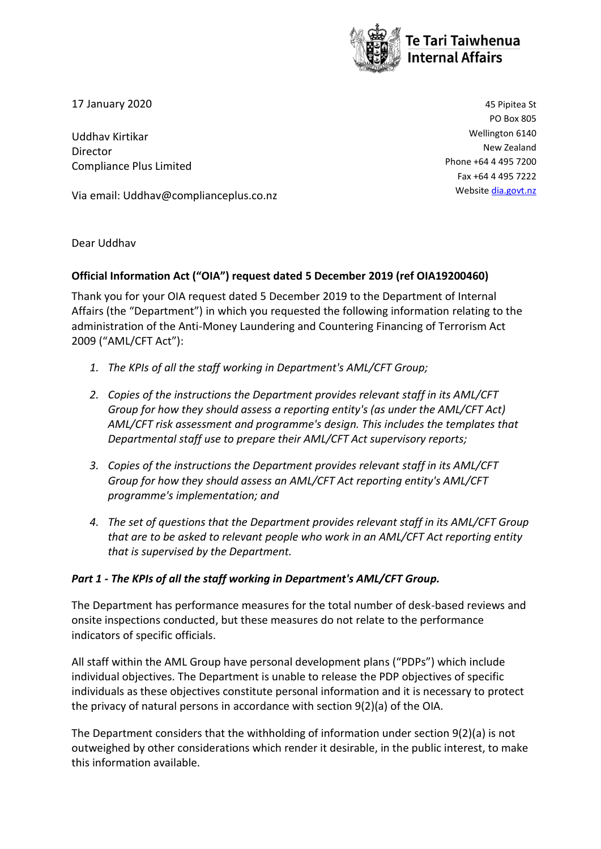

17 January 2020 45 Pipitea St

Uddhav Kirtikar Director Compliance Plus Limited

Via email: Uddhav@complianceplus.co.nz

PO Box 805 Wellington 6140 New Zealand Phone +64 4 495 7200 Fax +64 4 495 7222 Website [dia.govt.nz](http://www.dia.govt.nz/)

Dear Uddhav

#### **Official Information Act ("OIA") request dated 5 December 2019 (ref OIA19200460)**

Thank you for your OIA request dated 5 December 2019 to the Department of Internal Affairs (the "Department") in which you requested the following information relating to the administration of the Anti-Money Laundering and Countering Financing of Terrorism Act 2009 ("AML/CFT Act"):

- *1. The KPIs of all the staff working in Department's AML/CFT Group;*
- *2. Copies of the instructions the Department provides relevant staff in its AML/CFT Group for how they should assess a reporting entity's (as under the AML/CFT Act) AML/CFT risk assessment and programme's design. This includes the templates that Departmental staff use to prepare their AML/CFT Act supervisory reports;*
- *3. Copies of the instructions the Department provides relevant staff in its AML/CFT Group for how they should assess an AML/CFT Act reporting entity's AML/CFT programme's implementation; and*
- *4. The set of questions that the Department provides relevant staff in its AML/CFT Group that are to be asked to relevant people who work in an AML/CFT Act reporting entity that is supervised by the Department.*

#### *Part 1 - The KPIs of all the staff working in Department's AML/CFT Group.*

The Department has performance measures for the total number of desk-based reviews and onsite inspections conducted, but these measures do not relate to the performance indicators of specific officials.

All staff within the AML Group have personal development plans ("PDPs") which include individual objectives. The Department is unable to release the PDP objectives of specific individuals as these objectives constitute personal information and it is necessary to protect the privacy of natural persons in accordance with section 9(2)(a) of the OIA.

The Department considers that the withholding of information under section 9(2)(a) is not outweighed by other considerations which render it desirable, in the public interest, to make this information available.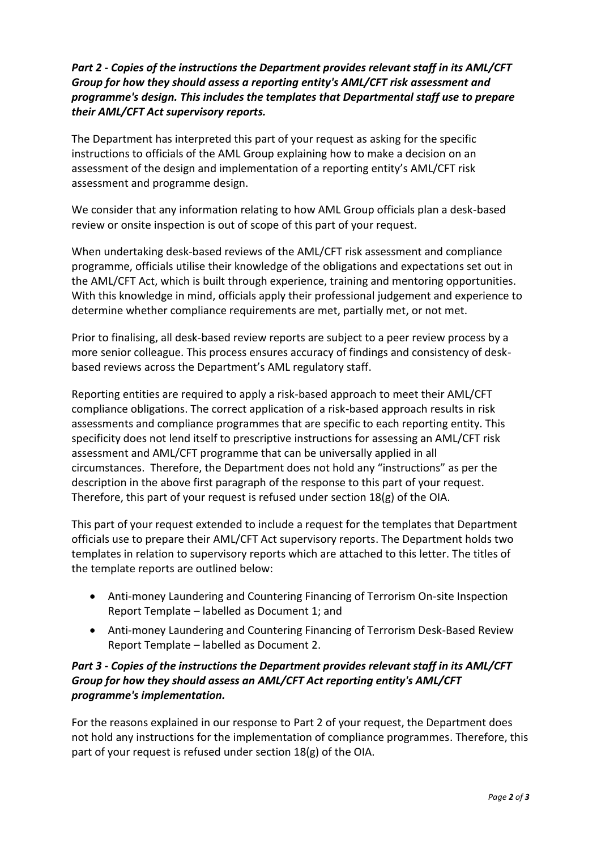# *Part 2 - Copies of the instructions the Department provides relevant staff in its AML/CFT Group for how they should assess a reporting entity's AML/CFT risk assessment and programme's design. This includes the templates that Departmental staff use to prepare their AML/CFT Act supervisory reports.*

The Department has interpreted this part of your request as asking for the specific instructions to officials of the AML Group explaining how to make a decision on an assessment of the design and implementation of a reporting entity's AML/CFT risk assessment and programme design.

We consider that any information relating to how AML Group officials plan a desk-based review or onsite inspection is out of scope of this part of your request.

When undertaking desk-based reviews of the AML/CFT risk assessment and compliance programme, officials utilise their knowledge of the obligations and expectations set out in the AML/CFT Act, which is built through experience, training and mentoring opportunities. With this knowledge in mind, officials apply their professional judgement and experience to determine whether compliance requirements are met, partially met, or not met.

Prior to finalising, all desk-based review reports are subject to a peer review process by a more senior colleague. This process ensures accuracy of findings and consistency of deskbased reviews across the Department's AML regulatory staff.

Reporting entities are required to apply a risk-based approach to meet their AML/CFT compliance obligations. The correct application of a risk-based approach results in risk assessments and compliance programmes that are specific to each reporting entity. This specificity does not lend itself to prescriptive instructions for assessing an AML/CFT risk assessment and AML/CFT programme that can be universally applied in all circumstances. Therefore, the Department does not hold any "instructions" as per the description in the above first paragraph of the response to this part of your request. Therefore, this part of your request is refused under section 18(g) of the OIA.

This part of your request extended to include a request for the templates that Department officials use to prepare their AML/CFT Act supervisory reports. The Department holds two templates in relation to supervisory reports which are attached to this letter. The titles of the template reports are outlined below:

- Anti-money Laundering and Countering Financing of Terrorism On-site Inspection Report Template – labelled as Document 1; and
- Anti-money Laundering and Countering Financing of Terrorism Desk-Based Review Report Template – labelled as Document 2.

# *Part 3 - Copies of the instructions the Department provides relevant staff in its AML/CFT Group for how they should assess an AML/CFT Act reporting entity's AML/CFT programme's implementation.*

For the reasons explained in our response to Part 2 of your request, the Department does not hold any instructions for the implementation of compliance programmes. Therefore, this part of your request is refused under section 18(g) of the OIA.